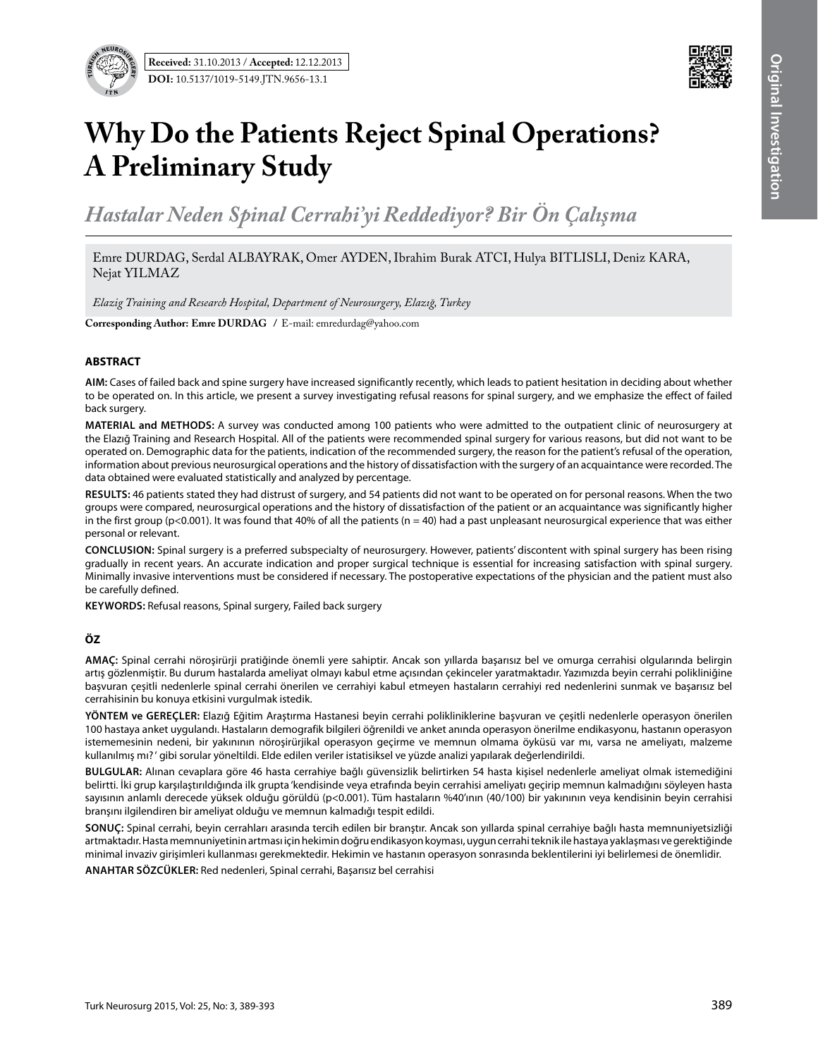

# **Why Do the Patients Reject Spinal Operations? A Preliminary Study**

*Hastalar Neden Spinal Cerrahi'yi Reddediyor? Bir Ön Çalışma*

Emre DURDAG, Serdal ALBAYRAK, Omer AYDEN, Ibrahim Burak ATCI, Hulya BITLISLI, Deniz KARA, Nejat YILMAZ

*Elazig Training and Research Hospital, Department of Neurosurgery, Elazığ, Turkey*

**Corresponding Author: Emre DURDAG** / E-mail: emredurdag@yahoo.com

### **ABSTRACT**

**AIm:** Cases of failed back and spine surgery have increased significantly recently, which leads to patient hesitation in deciding about whether to be operated on. In this article, we present a survey investigating refusal reasons for spinal surgery, and we emphasize the effect of failed back surgery.

**MaterIal and Methods:** A survey was conducted among 100 patients who were admitted to the outpatient clinic of neurosurgery at the Elazığ Training and Research Hospital. All of the patients were recommended spinal surgery for various reasons, but did not want to be operated on. Demographic data for the patients, indication of the recommended surgery, the reason for the patient's refusal of the operation, information about previous neurosurgical operations and the history of dissatisfaction with the surgery of an acquaintance were recorded. The data obtained were evaluated statistically and analyzed by percentage.

**Results:** 46 patients stated they had distrust of surgery, and 54 patients did not want to be operated on for personal reasons. When the two groups were compared, neurosurgical operations and the history of dissatisfaction of the patient or an acquaintance was significantly higher in the first group (p<0.001). It was found that 40% of all the patients ( $n = 40$ ) had a past unpleasant neurosurgical experience that was either personal or relevant.

**ConclusIon:** Spinal surgery is a preferred subspecialty of neurosurgery. However, patients' discontent with spinal surgery has been rising gradually in recent years. An accurate indication and proper surgical technique is essential for increasing satisfaction with spinal surgery. Minimally invasive interventions must be considered if necessary. The postoperative expectations of the physician and the patient must also be carefully defined.

**Keywords:** Refusal reasons, Spinal surgery, Failed back surgery

## **ÖZ**

**AMAÇ:** Spinal cerrahi nöroşirürji pratiğinde önemli yere sahiptir. Ancak son yıllarda başarısız bel ve omurga cerrahisi olgularında belirgin artış gözlenmiştir. Bu durum hastalarda ameliyat olmayı kabul etme açısından çekinceler yaratmaktadır. Yazımızda beyin cerrahi polikliniğine başvuran çeşitli nedenlerle spinal cerrahi önerilen ve cerrahiyi kabul etmeyen hastaların cerrahiyi red nedenlerini sunmak ve başarısız bel cerrahisinin bu konuya etkisini vurgulmak istedik.

**YÖNTEM ve GEREÇLER:** Elazığ Eğitim Araştırma Hastanesi beyin cerrahi polikliniklerine başvuran ve çeşitli nedenlerle operasyon önerilen 100 hastaya anket uygulandı. Hastaların demografik bilgileri öğrenildi ve anket anında operasyon önerilme endikasyonu, hastanın operasyon istememesinin nedeni, bir yakınının nöroşirürjikal operasyon geçirme ve memnun olmama öyküsü var mı, varsa ne ameliyatı, malzeme kullanılmış mı? ' gibi sorular yöneltildi. Elde edilen veriler istatisiksel ve yüzde analizi yapılarak değerlendirildi.

**BULGULAR:** Alınan cevaplara göre 46 hasta cerrahiye bağlı güvensizlik belirtirken 54 hasta kişisel nedenlerle ameliyat olmak istemediğini belirtti. İki grup karşılaştırıldığında ilk grupta 'kendisinde veya etrafında beyin cerrahisi ameliyatı geçirip memnun kalmadığını söyleyen hasta sayısının anlamlı derecede yüksek olduğu görüldü (p<0.001). Tüm hastaların %40'ının (40/100) bir yakınının veya kendisinin beyin cerrahisi branşını ilgilendiren bir ameliyat olduğu ve memnun kalmadığı tespit edildi.

**SONUÇ:** Spinal cerrahi, beyin cerrahları arasında tercih edilen bir branştır. Ancak son yıllarda spinal cerrahiye bağlı hasta memnuniyetsizliği artmaktadır. Hasta memnuniyetinin artması için hekimin doğru endikasyon koyması, uygun cerrahi teknik ile hastaya yaklaşması ve gerektiğinde minimal invaziv girişimleri kullanması gerekmektedir. Hekimin ve hastanın operasyon sonrasında beklentilerini iyi belirlemesi de önemlidir.

**ANAHTAR SÖZCÜKLER:** Red nedenleri, Spinal cerrahi, Başarısız bel cerrahisi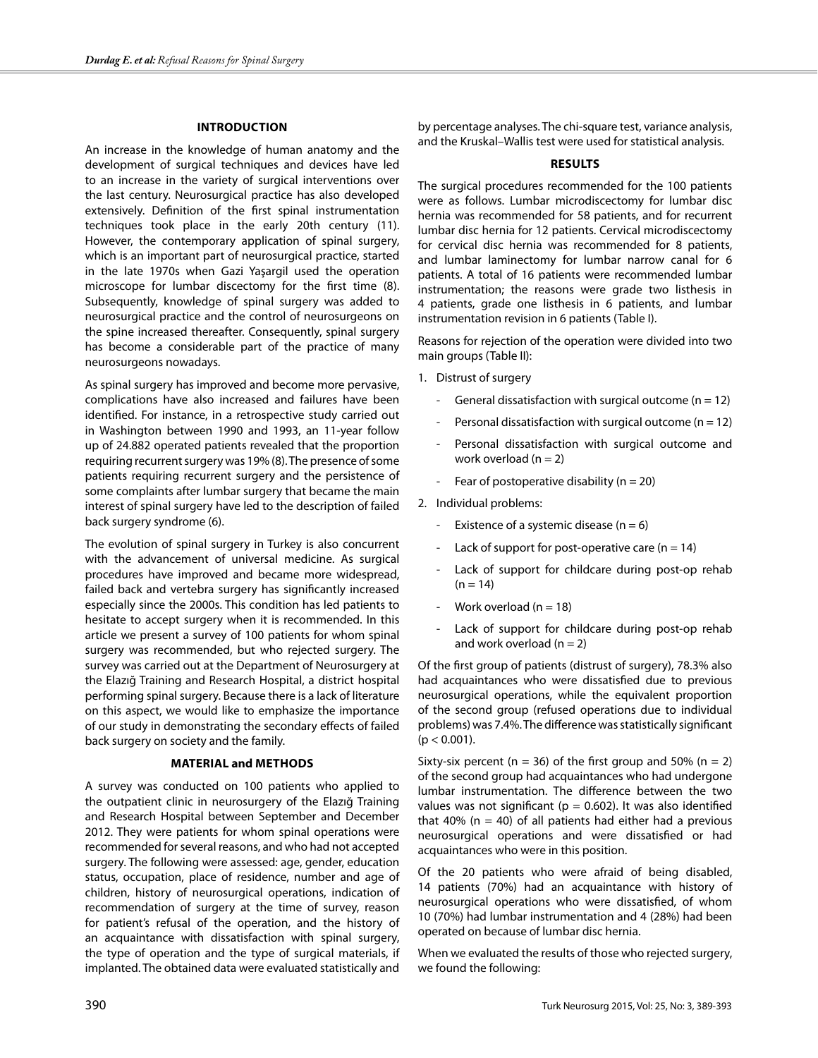## **Introduction**

An increase in the knowledge of human anatomy and the development of surgical techniques and devices have led to an increase in the variety of surgical interventions over the last century. Neurosurgical practice has also developed extensively. Definition of the first spinal instrumentation techniques took place in the early 20th century (11). However, the contemporary application of spinal surgery, which is an important part of neurosurgical practice, started in the late 1970s when Gazi Yaşargil used the operation microscope for lumbar discectomy for the first time (8). Subsequently, knowledge of spinal surgery was added to neurosurgical practice and the control of neurosurgeons on the spine increased thereafter. Consequently, spinal surgery has become a considerable part of the practice of many neurosurgeons nowadays.

As spinal surgery has improved and become more pervasive, complications have also increased and failures have been identified. For instance, in a retrospective study carried out in Washington between 1990 and 1993, an 11-year follow up of 24.882 operated patients revealed that the proportion requiring recurrent surgery was 19% (8). The presence of some patients requiring recurrent surgery and the persistence of some complaints after lumbar surgery that became the main interest of spinal surgery have led to the description of failed back surgery syndrome (6).

The evolution of spinal surgery in Turkey is also concurrent with the advancement of universal medicine. As surgical procedures have improved and became more widespread, failed back and vertebra surgery has significantly increased especially since the 2000s. This condition has led patients to hesitate to accept surgery when it is recommended. In this article we present a survey of 100 patients for whom spinal surgery was recommended, but who rejected surgery. The survey was carried out at the Department of Neurosurgery at the Elazığ Training and Research Hospital, a district hospital performing spinal surgery. Because there is a lack of literature on this aspect, we would like to emphasize the importance of our study in demonstrating the secondary effects of failed back surgery on society and the family.

## **MATERIAL and MethodS**

A survey was conducted on 100 patients who applied to the outpatient clinic in neurosurgery of the Elazığ Training and Research Hospital between September and December 2012. They were patients for whom spinal operations were recommended for several reasons, and who had not accepted surgery. The following were assessed: age, gender, education status, occupation, place of residence, number and age of children, history of neurosurgical operations, indication of recommendation of surgery at the time of survey, reason for patient's refusal of the operation, and the history of an acquaintance with dissatisfaction with spinal surgery, the type of operation and the type of surgical materials, if implanted. The obtained data were evaluated statistically and

by percentage analyses. The chi-square test, variance analysis, and the Kruskal–Wallis test were used for statistical analysis.

## **Results**

The surgical procedures recommended for the 100 patients were as follows. Lumbar microdiscectomy for lumbar disc hernia was recommended for 58 patients, and for recurrent lumbar disc hernia for 12 patients. Cervical microdiscectomy for cervical disc hernia was recommended for 8 patients, and lumbar laminectomy for lumbar narrow canal for 6 patients. A total of 16 patients were recommended lumbar instrumentation; the reasons were grade two listhesis in 4 patients, grade one listhesis in 6 patients, and lumbar instrumentation revision in 6 patients (Table I).

Reasons for rejection of the operation were divided into two main groups (Table II):

- 1. Distrust of surgery
	- General dissatisfaction with surgical outcome ( $n = 12$ )
	- Personal dissatisfaction with surgical outcome ( $n = 12$ )
	- Personal dissatisfaction with surgical outcome and work overload ( $n = 2$ )
	- Fear of postoperative disability ( $n = 20$ )

2. Individual problems:

- Existence of a systemic disease ( $n = 6$ )
- Lack of support for post-operative care  $(n = 14)$
- Lack of support for childcare during post-op rehab  $(n = 14)$
- Work overload ( $n = 18$ )
- Lack of support for childcare during post-op rehab and work overload  $(n = 2)$

Of the first group of patients (distrust of surgery), 78.3% also had acquaintances who were dissatisfied due to previous neurosurgical operations, while the equivalent proportion of the second group (refused operations due to individual problems) was 7.4%. The difference was statistically significant  $(p < 0.001)$ .

Sixty-six percent (n = 36) of the first group and 50% (n = 2) of the second group had acquaintances who had undergone lumbar instrumentation. The difference between the two values was not significant ( $p = 0.602$ ). It was also identified that 40% ( $n = 40$ ) of all patients had either had a previous neurosurgical operations and were dissatisfied or had acquaintances who were in this position.

Of the 20 patients who were afraid of being disabled, 14 patients (70%) had an acquaintance with history of neurosurgical operations who were dissatisfied, of whom 10 (70%) had lumbar instrumentation and 4 (28%) had been operated on because of lumbar disc hernia.

When we evaluated the results of those who rejected surgery, we found the following: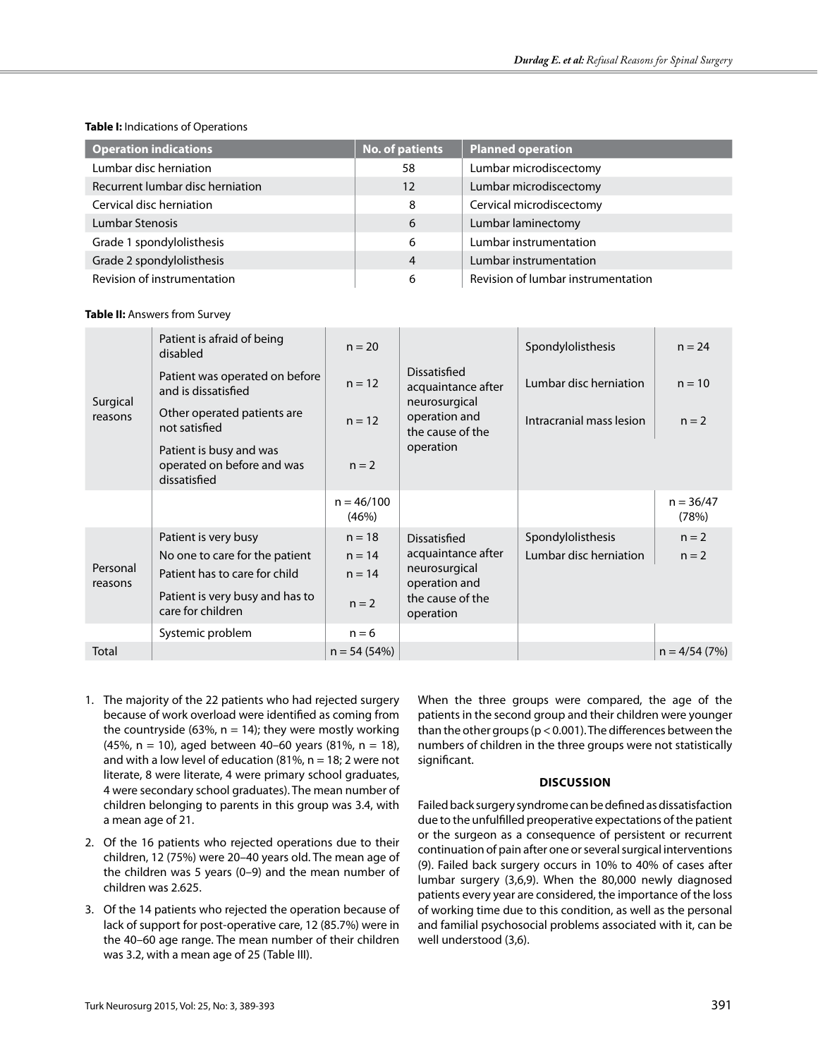# **Table I:** Indications of Operations

| <b>Operation indications</b>     | No. of patients | <b>Planned operation</b>           |
|----------------------------------|-----------------|------------------------------------|
| Lumbar disc herniation           | 58              | Lumbar microdiscectomy             |
| Recurrent lumbar disc herniation | 12              | Lumbar microdiscectomy             |
| Cervical disc herniation         | 8               | Cervical microdiscectomy           |
| Lumbar Stenosis                  | 6               | Lumbar laminectomy                 |
| Grade 1 spondylolisthesis        | 6               | Lumbar instrumentation             |
| Grade 2 spondylolisthesis        | 4               | Lumbar instrumentation             |
| Revision of instrumentation      | 6               | Revision of lumbar instrumentation |

## **Table II:** Answers from Survey

|                     | Patient is afraid of being<br>disabled                                                                                                          | $n = 20$                                    |                                                                                                       | Spondylolisthesis                           | $n = 24$             |
|---------------------|-------------------------------------------------------------------------------------------------------------------------------------------------|---------------------------------------------|-------------------------------------------------------------------------------------------------------|---------------------------------------------|----------------------|
| Surgical            | Patient was operated on before<br>and is dissatisfied                                                                                           | $n = 12$                                    | Dissatisfied<br>acquaintance after<br>neurosurgical                                                   | Lumbar disc herniation                      | $n = 10$             |
| reasons             | Other operated patients are<br>not satisfied                                                                                                    | $n = 12$                                    | operation and<br>the cause of the                                                                     | Intracranial mass lesion                    | $n = 2$              |
|                     | Patient is busy and was<br>operated on before and was<br>dissatisfied                                                                           | $n = 2$                                     | operation                                                                                             |                                             |                      |
|                     |                                                                                                                                                 | $n = 46/100$<br>(46%)                       |                                                                                                       |                                             | $n = 36/47$<br>(78%) |
| Personal<br>reasons | Patient is very busy<br>No one to care for the patient<br>Patient has to care for child<br>Patient is very busy and has to<br>care for children | $n = 18$<br>$n = 14$<br>$n = 14$<br>$n = 2$ | Dissatisfied<br>acquaintance after<br>neurosurgical<br>operation and<br>the cause of the<br>operation | Spondylolisthesis<br>Lumbar disc herniation | $n = 2$<br>$n = 2$   |
|                     | Systemic problem                                                                                                                                | $n = 6$                                     |                                                                                                       |                                             |                      |
| Total               |                                                                                                                                                 | $n = 54(54%)$                               |                                                                                                       |                                             | $n = 4/54(7%)$       |

- 1. The majority of the 22 patients who had rejected surgery because of work overload were identified as coming from the countryside (63%,  $n = 14$ ); they were mostly working (45%, n = 10), aged between 40–60 years (81%, n = 18), and with a low level of education (81%,  $n = 18$ ; 2 were not literate, 8 were literate, 4 were primary school graduates, 4 were secondary school graduates). The mean number of children belonging to parents in this group was 3.4, with a mean age of 21.
- 2. Of the 16 patients who rejected operations due to their children, 12 (75%) were 20–40 years old. The mean age of the children was 5 years (0–9) and the mean number of children was 2.625.
- 3. Of the 14 patients who rejected the operation because of lack of support for post-operative care, 12 (85.7%) were in the 40–60 age range. The mean number of their children was 3.2, with a mean age of 25 (Table III).

When the three groups were compared, the age of the patients in the second group and their children were younger than the other groups (p < 0.001). The differences between the numbers of children in the three groups were not statistically significant.

# **Discussion**

Failed back surgery syndrome can be defined as dissatisfaction due to the unfulfilled preoperative expectations of the patient or the surgeon as a consequence of persistent or recurrent continuation of pain after one or several surgical interventions (9). Failed back surgery occurs in 10% to 40% of cases after lumbar surgery (3,6,9). When the 80,000 newly diagnosed patients every year are considered, the importance of the loss of working time due to this condition, as well as the personal and familial psychosocial problems associated with it, can be well understood (3,6).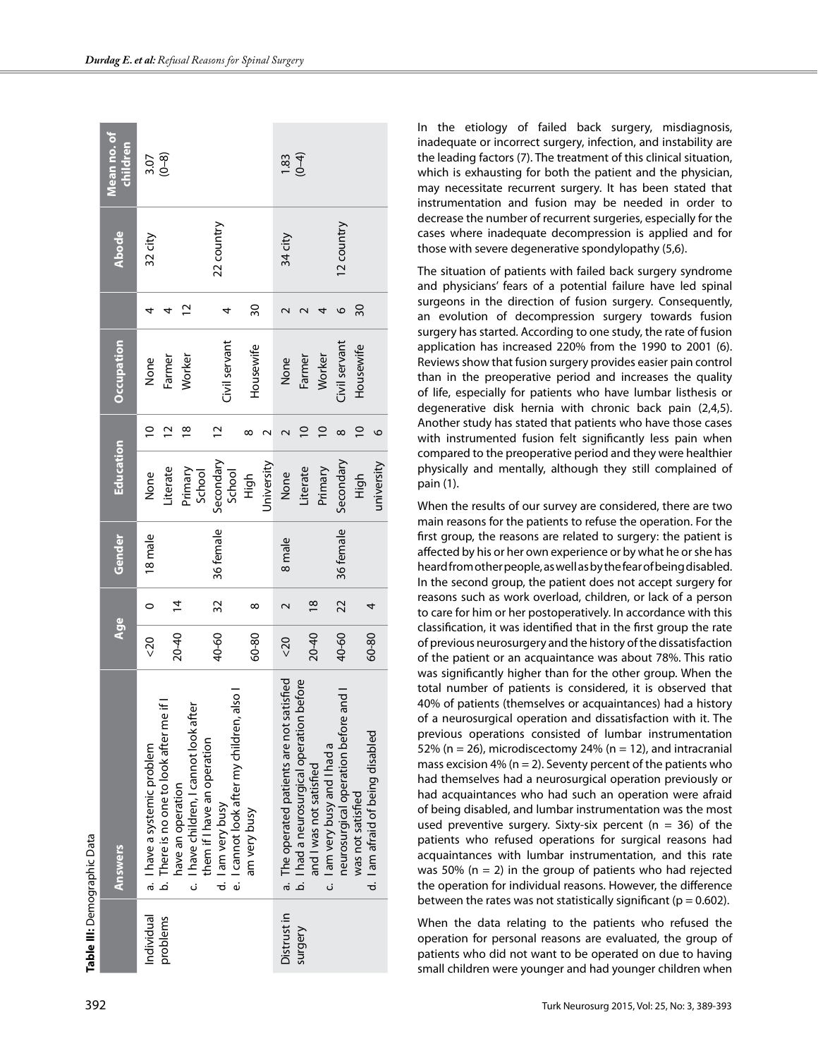| Table III: Demographic Data |                                                               |                          |                |           |                   |                |                      |    |              |                         |
|-----------------------------|---------------------------------------------------------------|--------------------------|----------------|-----------|-------------------|----------------|----------------------|----|--------------|-------------------------|
|                             | <b>Answers</b>                                                | Age                      |                | Gender    | <b>Education</b>  |                | Occupation           |    | <b>Abode</b> | Mean no. of<br>children |
| Individual                  | a. I have a systemic problem                                  | $\overline{\phantom{0}}$ | $\circ$        | 18 male   | None              | $\overline{a}$ | None                 | 4  | 32 city      | $3.07$<br>$(0-8)$       |
| problems                    | b. There is no one to look after me if I                      |                          |                |           | Literate          | $\sim$         | Farmer               | 4  |              |                         |
|                             | c. I have children, I cannot look after<br>have an operation  | $20 - 40$                | $\overline{4}$ |           | Primary<br>School | $\frac{8}{1}$  | Worker               | 2  |              |                         |
|                             | them if I have an operation                                   |                          |                |           |                   |                |                      |    |              |                         |
|                             | e. I cannot look after my children, also<br>d. I am very busy | 40-60                    | 32             | 36 female | Secondary         |                | Civil servant        | 4  | 22 country   |                         |
|                             | am very busy                                                  | 60-80                    | $\infty$       |           | School<br>High    |                | Housewife            | δS |              |                         |
|                             |                                                               |                          |                |           | Jniversity        |                |                      |    |              |                         |
| Distrust in                 | a. The operated patients are not satisfied                    | 520                      |                | 8 male    | None              |                | None                 |    | 34 city      | $1.83$<br>(0-4)         |
| surgery                     | b. I had a neurosurgical operation before                     |                          |                |           | Literate          |                | Farmer               |    |              |                         |
|                             | c. I am very busy and I had a<br>and I was not satisfied      | 20-40                    | $\frac{8}{1}$  |           | Primary           |                | Worker               | 4  |              |                         |
|                             | and<br>neurosurgical operation before                         | 40-60                    | 22             | 36 female | Secondary         | $^{\circ}$     | <b>Jivil</b> servant | O  | 12 country   |                         |
|                             | was not satisfied                                             |                          |                |           | High              |                | Housewife            | 30 |              |                         |
|                             | d. I am afraid of being disabled                              | 60-80                    | 4              |           | university        | O              |                      |    |              |                         |

In the etiology of failed back surgery, misdiagnosis, inadequate or incorrect surgery, infection, and instability are the leading factors (7). The treatment of this clinical situation, which is exhausting for both the patient and the physician, may necessitate recurrent surgery. It has been stated that instrumentation and fusion may be needed in order to decrease the number of recurrent surgeries, especially for the cases where inadequate decompression is applied and for those with severe degenerative spondylopathy (5,6).

The situation of patients with failed back surgery syndrome and physicians' fears of a potential failure have led spinal surgeons in the direction of fusion surgery. Consequently, an evolution of decompression surgery towards fusion surgery has started. According to one study, the rate of fusion application has increased 220% from the 1990 to 2001 (6). Reviews show that fusion surgery provides easier pain control than in the preoperative period and increases the quality of life, especially for patients who have lumbar listhesis or degenerative disk hernia with chronic back pain (2,4,5). Another study has stated that patients who have those cases with instrumented fusion felt significantly less pain when compared to the preoperative period and they were healthier physically and mentally, although they still complained of pain (1).

When the results of our survey are considered, there are two main reasons for the patients to refuse the operation. For the first group, the reasons are related to surgery: the patient is affected by his or her own experience or by what he or she has heard from other people, as well as by the fear of being disabled. In the second group, the patient does not accept surgery for reasons such as work overload, children, or lack of a person to care for him or her postoperatively. In accordance with this classification, it was identified that in the first group the rate of previous neurosurgery and the history of the dissatisfaction of the patient or an acquaintance was about 78%. This ratio was significantly higher than for the other group. When the total number of patients is considered, it is observed that 40% of patients (themselves or acquaintances) had a history of a neurosurgical operation and dissatisfaction with it. The previous operations consisted of lumbar instrumentation 52% ( $n = 26$ ), microdiscectomy 24% ( $n = 12$ ), and intracranial mass excision 4% ( $n = 2$ ). Seventy percent of the patients who had themselves had a neurosurgical operation previously or had acquaintances who had such an operation were afraid of being disabled, and lumbar instrumentation was the most used preventive surgery. Sixty-six percent ( $n = 36$ ) of the patients who refused operations for surgical reasons had acquaintances with lumbar instrumentation, and this rate was 50% ( $n = 2$ ) in the group of patients who had rejected the operation for individual reasons. However, the difference between the rates was not statistically significant ( $p = 0.602$ ).

When the data relating to the patients who refused the operation for personal reasons are evaluated, the group of patients who did not want to be operated on due to having small children were younger and had younger children when